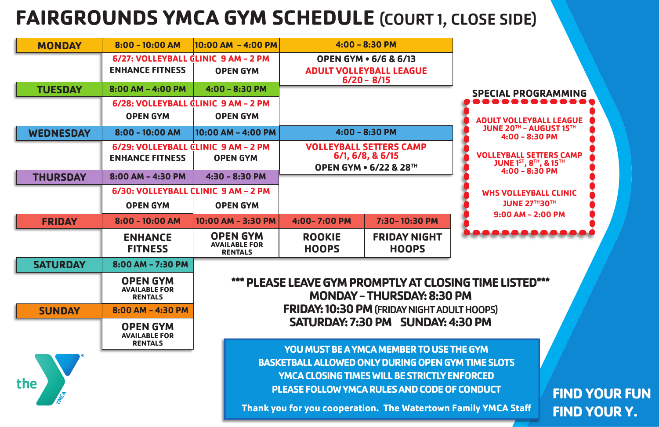# **FAIRGROUNDS YMCA GYM SCHEDULE** (COURT 1, CLOSE SIDE)

**FIND YOUR FUN FIND YOUR Y.**

**ADULT VOLLEYBALL LEAGUE JUNE 20TH - AUGUST 15TH 4:00 - 8:30 PM**

**VOLLEYBALL SETTERS CAMP JUNE 1ST, 8TH, & 15TH 4:00 - 8:30 PM**

**WHS VOLLEYBALL CLINIC JUNE 27TH30TH 9:00 AM - 2:00 PM**

**DOOO** 

#### **ME LISTED\*\*\***

**YMCA Staff** 

| <b>MONDAY</b>    | $8:00 - 10:00$ AM                                             | $10:00$ AM $-$ 4:00 PM                                     | $4:00 - 8:30$ PM                                                                         |                                                 |                                |  |  |
|------------------|---------------------------------------------------------------|------------------------------------------------------------|------------------------------------------------------------------------------------------|-------------------------------------------------|--------------------------------|--|--|
|                  | 6/27: VOLLEYBALL CLINIC 9 AM - 2 PM<br><b>ENHANCE FITNESS</b> | <b>OPEN GYM</b>                                            | <b>OPEN GYM • 6/6 &amp; 6/13</b><br><b>ADULT VOLLEYBALL LEAGUE</b><br>$6/20 - 8/15$      |                                                 |                                |  |  |
| <b>TUESDAY</b>   | $8:00$ AM - 4:00 PM                                           | $4:00 - 8:30$ PM                                           |                                                                                          |                                                 | <b>SPECIAL</b>                 |  |  |
|                  | 6/28: VOLLEYBALL CLINIC 9 AM - 2 PM<br><b>OPEN GYM</b>        | <b>OPEN GYM</b>                                            |                                                                                          |                                                 | <b>ADULT VO</b>                |  |  |
| <b>WEDNESDAY</b> | $8:00 - 10:00$ AM                                             | $10:00$ AM - 4:00 PM                                       | $4:00 - 8:30$ PM                                                                         |                                                 | <b>JUNE 20</b><br>4:0          |  |  |
|                  | 6/29: VOLLEYBALL CLINIC 9 AM - 2 PM<br><b>ENHANCE FITNESS</b> | <b>OPEN GYM</b>                                            | <b>VOLLEYBALL SETTERS CAMP</b><br>6/1, 6/8, 8, 6/15<br><b>OPEN GYM • 6/22 &amp; 28TH</b> |                                                 | <b>VOLLEYBA</b><br><b>JUNE</b> |  |  |
| <b>THURSDAY</b>  | 8:00 AM - 4:30 PM                                             | $4:30 - 8:30 P$ M                                          |                                                                                          |                                                 | 4:0                            |  |  |
|                  | 6/30: VOLLEYBALL CLINIC 9 AM - 2 PM                           |                                                            |                                                                                          |                                                 | <b>WHS VOI</b>                 |  |  |
|                  | <b>OPEN GYM</b>                                               | <b>OPEN GYM</b>                                            |                                                                                          |                                                 | JUI                            |  |  |
| <b>FRIDAY</b>    | $8:00 - 10:00$ AM                                             | 10:00 AM - 3:30 PM                                         | 4:00-7:00 PM                                                                             | 7:30-10:30 PM                                   | 9:00                           |  |  |
|                  | <b>ENHANCE</b><br><b>FITNESS</b>                              | <b>OPEN GYM</b><br><b>AVAILABLE FOR</b><br><b>RENTALS</b>  | <b>ROOKIE</b><br><b>HOOPS</b>                                                            | <b>FRIDAY NIGHT</b><br><b>HOOPS</b>             |                                |  |  |
| <b>SATURDAY</b>  | 8:00 AM - 7:30 PM                                             |                                                            |                                                                                          |                                                 |                                |  |  |
|                  | <b>OPEN GYM</b><br><b>AVAILABLE FOR</b><br><b>RENTALS</b>     |                                                            | *** PLEASE LEAVE GYM PROMPTLY AT CLOSING TIME LIS<br><b>MONDAY - THURSDAY: 8:30 PM</b>   |                                                 |                                |  |  |
| <b>SUNDAY</b>    | 8:00 AM - 4:30 PM                                             |                                                            | <b>FRIDAY: 10:30 PM (FRIDAY NIGHT ADULT HOOPS)</b>                                       |                                                 |                                |  |  |
|                  | <b>OPEN GYM</b><br><b>AVAILABLE FOR</b><br><b>RENTALS</b>     | SATURDAY: 7:30 PM SUNDAY: 4:30 PM                          |                                                                                          |                                                 |                                |  |  |
|                  |                                                               |                                                            |                                                                                          | <b>YOU MUST BE A YMCA MEMBER TO USE THE GYM</b> |                                |  |  |
|                  |                                                               | <b>BASKETBALL ALLOWED ONLY DURING OPEN GYM TIME SLOTS</b>  |                                                                                          |                                                 |                                |  |  |
| the              |                                                               | <b>YMCA CLOSING TIMES WILL BE STRICTLY ENFORCED</b>        |                                                                                          |                                                 |                                |  |  |
|                  |                                                               | PLEASE FOLLOW YMCA RULES AND CODE OF CONDUCT               |                                                                                          |                                                 |                                |  |  |
|                  |                                                               | Thank you for you cooperation. The Watertown Family YMCA S |                                                                                          |                                                 |                                |  |  |

### **ECIAL PROGRAMMING**